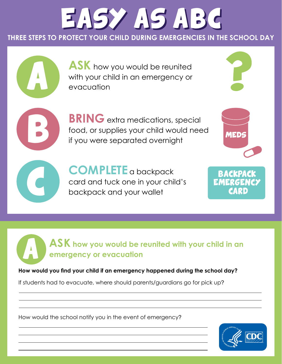## EASY AS ABC

**THREE STEPS TO PROTECT YOUR CHILD DURING EMERGENCIES IN THE SCHOOL DAY**

**ASK** how you would be reunited with your child in an emergency or evacuation

**BRING** extra medications, special food, or supplies your child would need if you were separated overnight

<sup>C</sup> **COMPLETE** a backpack card and tuck one in your child's backpack and your wallet

<sup>A</sup> **ASK how you would be reunited with your child in an emergency or evacuation**

**How would you find your child if an emergency happened during the school day?** 

If students had to evacuate, where should parents/guardians go for pick up?

How would the school notify you in the event of emergency?



BACKPA EMERGE

**MEDS** 

CARD